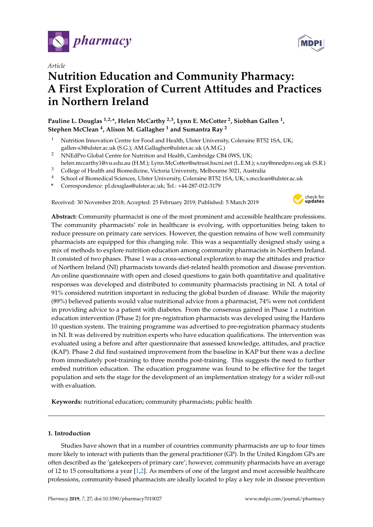

*Article*

# **Nutrition Education and Community Pharmacy: A First Exploration of Current Attitudes and Practices in Northern Ireland**

**Pauline L. Douglas 1,2,\*, Helen McCarthy 2,3, Lynn E. McCotter <sup>2</sup> , Siobhan Gallen <sup>1</sup> , Stephen McClean <sup>4</sup> , Alison M. Gallagher <sup>1</sup> and Sumantra Ray <sup>2</sup>**

- <sup>1</sup> Nutrition Innovation Centre for Food and Health, Ulster University, Coleraine BT52 1SA, UK; gallen-s3@ulster.ac.uk (S.G.); AM.Gallagher@ulster.ac.uk (A.M.G.)
- <sup>2</sup> NNEdPro Global Centre for Nutrition and Health, Cambridge CB4 0WS, UK; helen.mccarthy1@vu.edu.au (H.M.); Lynn.McCotter@setrust.hscni.net (L.E.M.); s.ray@nnedpro.org.uk (S.R.)
- <sup>3</sup> College of Health and Biomedicine, Victoria University, Melbourne 3021, Australia
- <sup>4</sup> School of Biomedical Sciences, Ulster University, Coleraine BT52 1SA, UK; s.mcclean@ulster.ac.uk
- **\*** Correspondence: pl.douglas@ulster.ac.uk; Tel.: +44-287-012-3179

Received: 30 November 2018; Accepted: 25 February 2019; Published: 5 March 2019



**Abstract:** Community pharmacist is one of the most prominent and accessible healthcare professions. The community pharmacists' role in healthcare is evolving, with opportunities being taken to reduce pressure on primary care services. However, the question remains of how well community pharmacists are equipped for this changing role. This was a sequentially designed study using a mix of methods to explore nutrition education among community pharmacists in Northern Ireland. It consisted of two phases. Phase 1 was a cross-sectional exploration to map the attitudes and practice of Northern Ireland (NI) pharmacists towards diet-related health promotion and disease prevention. An online questionnaire with open and closed questions to gain both quantitative and qualitative responses was developed and distributed to community pharmacists practising in NI. A total of 91% considered nutrition important in reducing the global burden of disease. While the majority (89%) believed patients would value nutritional advice from a pharmacist, 74% were not confident in providing advice to a patient with diabetes. From the consensus gained in Phase 1 a nutrition education intervention (Phase 2) for pre-registration pharmacists was developed using the Hardens 10 question system. The training programme was advertised to pre-registration pharmacy students in NI. It was delivered by nutrition experts who have education qualifications. The intervention was evaluated using a before and after questionnaire that assessed knowledge, attitudes, and practice (KAP). Phase 2 did find sustained improvement from the baseline in KAP but there was a decline from immediately post-training to three months post-training. This suggests the need to further embed nutrition education. The education programme was found to be effective for the target population and sets the stage for the development of an implementation strategy for a wider roll-out with evaluation.

**Keywords:** nutritional education; community pharmacists; public health

# **1. Introduction**

Studies have shown that in a number of countries community pharmacists are up to four times more likely to interact with patients than the general practitioner (GP). In the United Kingdom GPs are often described as the 'gatekeepers of primary care'; however, community pharmacists have an average of 12 to 15 consultations a year  $[1,2]$  $[1,2]$ . As members of one of the largest and most accessible healthcare professions, community-based pharmacists are ideally located to play a key role in disease prevention

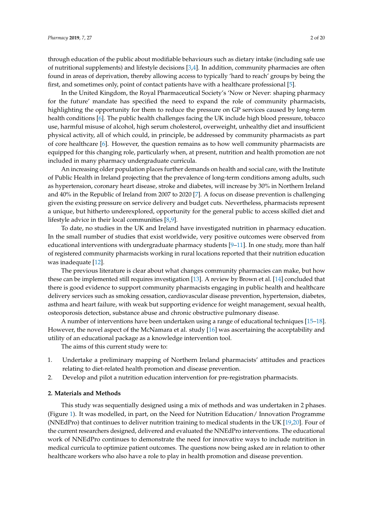In the United Kingdom, the Royal Pharmaceutical Society's 'Now or Never: shaping pharmacy for the future' mandate has specified the need to expand the role of community pharmacists, highlighting the opportunity for them to reduce the pressure on GP services caused by long-term health conditions [\[6\]](#page-17-5). The public health challenges facing the UK include high blood pressure, tobacco use, harmful misuse of alcohol, high serum cholesterol, overweight, unhealthy diet and insufficient physical activity, all of which could, in principle, be addressed by community pharmacists as part of core healthcare [\[6\]](#page-17-5). However, the question remains as to how well community pharmacists are equipped for this changing role, particularly when, at present, nutrition and health promotion are not included in many pharmacy undergraduate curricula.

An increasing older population places further demands on health and social care, with the Institute of Public Health in Ireland projecting that the prevalence of long-term conditions among adults, such as hypertension, coronary heart disease, stroke and diabetes, will increase by 30% in Northern Ireland and 40% in the Republic of Ireland from 2007 to 2020 [\[7\]](#page-17-6). A focus on disease prevention is challenging given the existing pressure on service delivery and budget cuts. Nevertheless, pharmacists represent a unique, but hitherto underexplored, opportunity for the general public to access skilled diet and lifestyle advice in their local communities [\[8](#page-17-7)[,9\]](#page-17-8).

To date, no studies in the UK and Ireland have investigated nutrition in pharmacy education. In the small number of studies that exist worldwide, very positive outcomes were observed from educational interventions with undergraduate pharmacy students [\[9](#page-17-8)[–11\]](#page-18-0). In one study, more than half of registered community pharmacists working in rural locations reported that their nutrition education was inadequate [\[12\]](#page-18-1).

The previous literature is clear about what changes community pharmacies can make, but how these can be implemented still requires investigation [\[13\]](#page-18-2). A review by Brown et al. [\[14\]](#page-18-3) concluded that there is good evidence to support community pharmacists engaging in public health and healthcare delivery services such as smoking cessation, cardiovascular disease prevention, hypertension, diabetes, asthma and heart failure, with weak but supporting evidence for weight management, sexual health, osteoporosis detection, substance abuse and chronic obstructive pulmonary disease.

A number of interventions have been undertaken using a range of educational techniques [\[15–](#page-18-4)[18\]](#page-18-5). However, the novel aspect of the McNamara et al. study [\[16\]](#page-18-6) was ascertaining the acceptability and utility of an educational package as a knowledge intervention tool.

The aims of this current study were to:

- 1. Undertake a preliminary mapping of Northern Ireland pharmacists' attitudes and practices relating to diet-related health promotion and disease prevention.
- 2. Develop and pilot a nutrition education intervention for pre-registration pharmacists.

# **2. Materials and Methods**

This study was sequentially designed using a mix of methods and was undertaken in 2 phases. (Figure [1\)](#page-2-0). It was modelled, in part, on the Need for Nutrition Education/ Innovation Programme (NNEdPro) that continues to deliver nutrition training to medical students in the UK [\[19,](#page-18-7)[20\]](#page-18-8). Four of the current researchers designed, delivered and evaluated the NNEdPro interventions. The educational work of NNEdPro continues to demonstrate the need for innovative ways to include nutrition in medical curricula to optimize patient outcomes. The questions now being asked are in relation to other healthcare workers who also have a role to play in health promotion and disease prevention.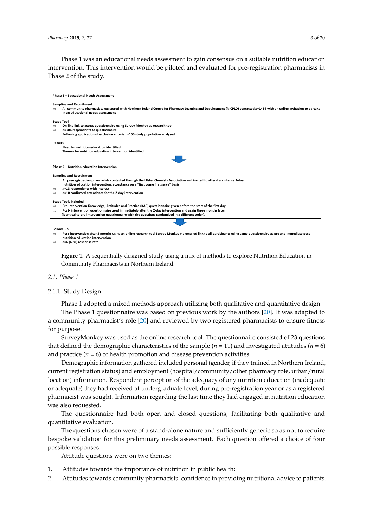Phase 1 was an educational needs assessment to gain consensus on a suitable nutrition education intervention. This intervention would be piloted and evaluated for pre-registration pharmacists in **Phase 2 of the study.**  $\overline{a}$ 

<span id="page-2-0"></span>

**Figure 1.** A sequentially designed study using a mix of methods to explore Nutrition Education in Community Pharmacists in Northern Ireland. Community Pharmacists in Northern Ireland.

### *2.1. Phase 1*

#### 2.1.1. Study Design

 $2.1$ Phase 1 adopted a mixed methods approach utilizing both qualitative and quantitative design.

The Phase 1 questionnaire was based on previous work by the authors [20]. It was adapted to a community pharmacist's role [\[20\]](#page-18-8) and reviewed by two registered pharmacists to ensure fitness for purpose.  $\epsilon$ for purpose.

that defined the demographic characteristics of the sample ( $n = 11$ ) and investigated attitudes ( $n = 6$ ) and practice ( $n = 6$ ) of health promotion and disease prevention activities. SurveyMonkey was used as the online research tool. The questionnaire consisted of 23 questions

Demographic information gathered included personal (gender, if they trained in Northern Ireland, current registration status) and employment (hospital/community/other pharmacy role, urban/rural location) information. Respondent perception of the adequacy of any nutrition education (inadequate or adequate) they had received at undergraduate level, during pre-registration year or as a registered pharmacist was sought. Information regarding the last time they had engaged in nutrition education was also requested. Information regarding the last time theory had engaged in the last time theory had engaged in the last time theory had engaged in the last time theory had engaged in the last time the state of the last

The questionnaire had both open and closed questions, facilitating both qualitative and quantitative evaluation.

The questions chosen were of a stand-alone nature and sufficiently generic so as not to require bespoke validation for this preliminary needs assessment. Each question offered a choice of four possible responses.

Attitude questions were on two themes:

- 1. Attitudes towards the importance of nutrition in public health;
- 2. Attitudes towards community pharmacists' confidence in providing nutritional advice to patients.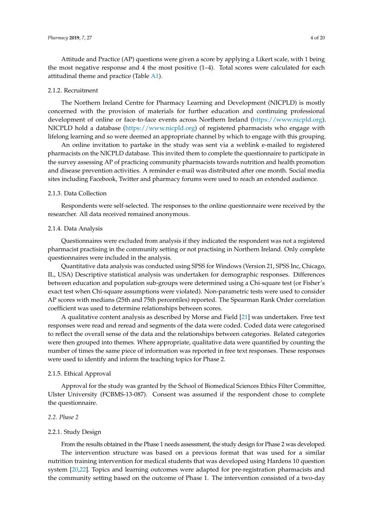Attitude and Practice (AP) questions were given a score by applying a Likert scale, with 1 being the most negative response and 4 the most positive (1–4). Total scores were calculated for each attitudinal theme and practice (Table [A1\)](#page-15-0).

#### 2.1.2. Recruitment

The Northern Ireland Centre for Pharmacy Learning and Development (NICPLD) is mostly concerned with the provision of materials for further education and continuing professional development of online or face-to-face events across Northern Ireland [\(https://www.nicpld.org\)](https://www.nicpld.org). NICPLD hold a database [\(https://www.nicpld.org\)](https://www.nicpld.org) of registered pharmacists who engage with lifelong learning and so were deemed an appropriate channel by which to engage with this grouping.

An online invitation to partake in the study was sent via a weblink e-mailed to registered pharmacists on the NICPLD database. This invited them to complete the questionnaire to participate in the survey assessing AP of practicing community pharmacists towards nutrition and health promotion and disease prevention activities. A reminder e-mail was distributed after one month. Social media sites including Facebook, Twitter and pharmacy forums were used to reach an extended audience.

### 2.1.3. Data Collection

Respondents were self-selected. The responses to the online questionnaire were received by the researcher. All data received remained anonymous.

### 2.1.4. Data Analysis

Questionnaires were excluded from analysis if they indicated the respondent was not a registered pharmacist practising in the community setting or not practising in Northern Ireland. Only complete questionnaires were included in the analysis.

Quantitative data analysis was conducted using SPSS for Windows (Version 21, SPSS Inc, Chicago, IL, USA) Descriptive statistical analysis was undertaken for demographic responses. Differences between education and population sub-groups were determined using a Chi-square test (or Fisher's exact test when Chi-square assumptions were violated). Non-parametric tests were used to consider AP scores with medians (25th and 75th percentiles) reported. The Spearman Rank Order correlation coefficient was used to determine relationships between scores.

A qualitative content analysis as described by Morse and Field [\[21\]](#page-18-9) was undertaken. Free text responses were read and reread and segments of the data were coded. Coded data were categorised to reflect the overall sense of the data and the relationships between categories. Related categories were then grouped into themes. Where appropriate, qualitative data were quantified by counting the number of times the same piece of information was reported in free text responses. These responses were used to identify and inform the teaching topics for Phase 2.

# 2.1.5. Ethical Approval

Approval for the study was granted by the School of Biomedical Sciences Ethics Filter Committee, Ulster University (FCBMS-13-087). Consent was assumed if the respondent chose to complete the questionnaire.

# *2.2. Phase 2*

# 2.2.1. Study Design

From the results obtained in the Phase 1 needs assessment, the study design for Phase 2 was developed.

The intervention structure was based on a previous format that was used for a similar nutrition training intervention for medical students that was developed using Hardens 10 question system [\[20,](#page-18-8)[22\]](#page-18-10). Topics and learning outcomes were adapted for pre-registration pharmacists and the community setting based on the outcome of Phase 1. The intervention consisted of a two-day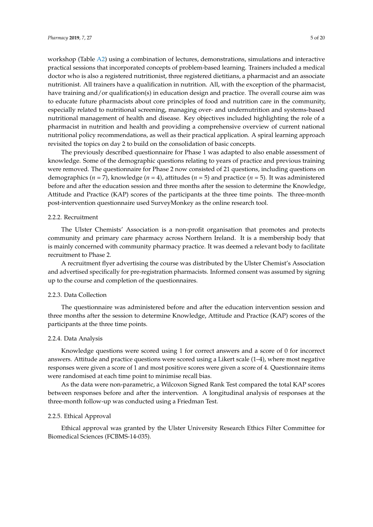workshop (Table [A2\)](#page-16-0) using a combination of lectures, demonstrations, simulations and interactive practical sessions that incorporated concepts of problem-based learning. Trainers included a medical doctor who is also a registered nutritionist, three registered dietitians, a pharmacist and an associate nutritionist. All trainers have a qualification in nutrition. All, with the exception of the pharmacist, have training and/or qualification(s) in education design and practice. The overall course aim was to educate future pharmacists about core principles of food and nutrition care in the community, especially related to nutritional screening, managing over- and undernutrition and systems-based nutritional management of health and disease. Key objectives included highlighting the role of a pharmacist in nutrition and health and providing a comprehensive overview of current national nutritional policy recommendations, as well as their practical application. A spiral learning approach revisited the topics on day 2 to build on the consolidation of basic concepts.

The previously described questionnaire for Phase 1 was adapted to also enable assessment of knowledge. Some of the demographic questions relating to years of practice and previous training were removed. The questionnaire for Phase 2 now consisted of 21 questions, including questions on demographics (*n* = 7), knowledge (*n* = 4), attitudes (*n* = 5) and practice (*n* = 5). It was administered before and after the education session and three months after the session to determine the Knowledge, Attitude and Practice (KAP) scores of the participants at the three time points. The three-month post-intervention questionnaire used SurveyMonkey as the online research tool.

#### 2.2.2. Recruitment

The Ulster Chemists' Association is a non-profit organisation that promotes and protects community and primary care pharmacy across Northern Ireland. It is a membership body that is mainly concerned with community pharmacy practice. It was deemed a relevant body to facilitate recruitment to Phase 2.

A recruitment flyer advertising the course was distributed by the Ulster Chemist's Association and advertised specifically for pre-registration pharmacists. Informed consent was assumed by signing up to the course and completion of the questionnaires.

# 2.2.3. Data Collection

The questionnaire was administered before and after the education intervention session and three months after the session to determine Knowledge, Attitude and Practice (KAP) scores of the participants at the three time points.

# 2.2.4. Data Analysis

Knowledge questions were scored using 1 for correct answers and a score of 0 for incorrect answers. Attitude and practice questions were scored using a Likert scale (1–4), where most negative responses were given a score of 1 and most positive scores were given a score of 4. Questionnaire items were randomised at each time point to minimise recall bias.

As the data were non-parametric, a Wilcoxon Signed Rank Test compared the total KAP scores between responses before and after the intervention. A longitudinal analysis of responses at the three-month follow-up was conducted using a Friedman Test.

## 2.2.5. Ethical Approval

Ethical approval was granted by the Ulster University Research Ethics Filter Committee for Biomedical Sciences (FCBMS-14-035).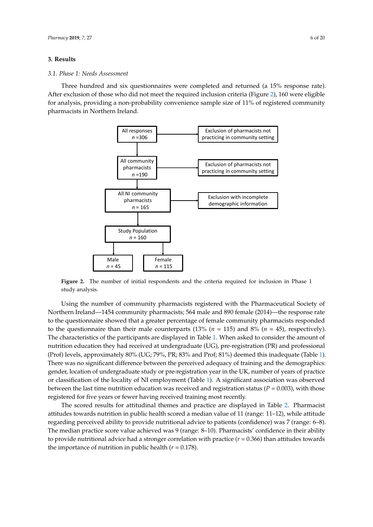# **3. Results**

# *3.1. Phase 1: Needs Assessment*

<span id="page-5-0"></span>Three hundred and six questionnaires were completed and returned (a 15% response rate). After exclusion of those who did not meet the required inclusion criteria (Figure [2\)](#page-5-0), 160 were eligible for analysis, providing a non-probability convenience sample size of 11% of registered community pharmacists in Northern Ireland.



Figure 2. *Figure 2. <b>Figure* response and the criteria required for inclusion in Phase 1 study 3.3. **Figure 2.** The number of initial respondents and the criteria required for inclusion in Phase 1 study analysis.

Using the number of community pharmacists registered with the Pharmaceutical Society of Northern Ireland—1454 community pharmacists; 564 male and 890 female (2014)—the response rate to the questionnaire showed that a greater percentage of remare community pharmacists responsed<br>to the questionnaire than their male counterparts (13% ( $n = 115$ ) and 8% ( $n = 45$ ), respectively).  $\frac{1}{2}$  desironnaire share mane countriplate  $\frac{1}{2}$  ( $\frac{1}{2}$   $\frac{1}{2}$   $\frac{1}{2}$   $\frac{1}{2}$   $\frac{1}{2}$   $\frac{1}{2}$   $\frac{1}{2}$   $\frac{1}{2}$   $\frac{1}{2}$   $\frac{1}{2}$   $\frac{1}{2}$   $\frac{1}{2}$   $\frac{1}{2}$   $\frac{1}{2}$   $\frac{1}{2}$   $\frac{1}{2}$   $\frac$ The characteristics of the participants are displayed in Table [1.](#page-6-0) When asked to consider the amount of the state of the participants are displayed in Table 1. When asked to consider the amount of characteristics of the participants are displayed in  $\mathbb{R}^n$  . The amount of the amount of the amount of  $\mathbb{R}^n$  in  $\mathbb{R}^n$ (Prof) levels, approximately 80% (UG; 79%, PR; 83% and Prof; 81%) deemed this inadequate (Table [1\)](#page-6-0).<br>The state of the contract of the contract of the contract of the contract of the contract of the contract of t There was no significant difference between the perceived adequacy of training and the demographics:<br> $\frac{1}{2}$ gender, location of undergraduate study or pre-registration year in the UK, number of years of practice<br>entitled and the percent of the UK, number of years of practice  $\frac{d}{dt}$  demographics:  $\frac{d}{dt}$  or  $\frac{d}{dt}$  in the UK  $\frac{d}{dt}$ ,  $\frac{d}{dt}$  is the UK  $\frac{d}{dt}$ between the last time nutrition education was received and registration status ( $P = 0.003$ ), with those to the questionnaire showed that a greater percentage of female community pharmacists responded nutrition education they had received at undergraduate (UG), pre-registration (PR) and professional or classification of the locality of NI employment (Table [1\)](#page-6-0). A significant association was observed registered for five years or fewer having received training most recently.

ence for twe years of fewer having received training most receivity.<br>The scored results for attitudinal themes and practice are displayed in Table [2.](#page-7-0) Pharmacist attitudes towards nutrition in public health scored a median value of 11 (range: 11–12), while attitude attitude attitudes towards fidention in public reduct secred a mediant value of 11 (range: 11–12), while dititude<br>regarding perceived ability to provide nutritional advice to patients (confidence) was 7 (range: 6–8). attitude to public health scored a median value of the term in public health scored a median value of 11 method The median practice score value achieved was 9 (range: 8–10). Pharmacists' confidence in their ability<br>. to provide nutritional advice had a stronger correlation with practice (*r* = 0.366) than attitudes towards<br>their ability of the stronger of the little of the 2.179) the importance of nutrition in public health ( $r = 0.178$ ).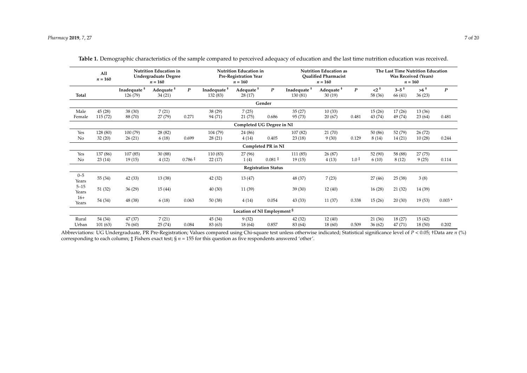|                   | A11<br>$n = 160$           | Nutrition Education in<br><b>Undergraduate Degree</b><br>$n = 160$ |                                  |             | Nutrition Education in<br>Pre-Registration Year<br>$n = 160$ |                                        | <b>Nutrition Education as</b><br><b>Oualified Pharmacist</b><br>$n = 160$ |                                     |                                 | The Last Time Nutrition Education<br><b>Was Received (Years)</b><br>$n = 160$ |                   |                                 |                  |                  |
|-------------------|----------------------------|--------------------------------------------------------------------|----------------------------------|-------------|--------------------------------------------------------------|----------------------------------------|---------------------------------------------------------------------------|-------------------------------------|---------------------------------|-------------------------------------------------------------------------------|-------------------|---------------------------------|------------------|------------------|
| Total             |                            | Inadequate <sup>†</sup><br>126 (79)                                | Adequate <sup>†</sup><br>34 (21) | P           | Inadequate <sup>+</sup><br>132 (83)                          | Adequate <sup>+</sup><br>28(17)        | $\boldsymbol{P}$                                                          | Inadequate <sup>+</sup><br>130 (81) | Adequate <sup>+</sup><br>30(19) | P                                                                             | $2^+$<br>58 (36)  | $3 - 5$ <sup>+</sup><br>66 (41) | $>6^+$<br>36(23) | $\boldsymbol{p}$ |
|                   | Gender                     |                                                                    |                                  |             |                                                              |                                        |                                                                           |                                     |                                 |                                                                               |                   |                                 |                  |                  |
| Male<br>Female    | 45(28)<br>115(72)          | 38(30)<br>88 (70)                                                  | 7(21)<br>27 (79)                 | 0.271       | 38(29)<br>94 (71)                                            | 7(25)<br>21(75)                        | 0.686                                                                     | 35(27)<br>95 (73)                   | 10(33)<br>20(67)                | 0.481                                                                         | 15(26)<br>43 (74) | 17(26)<br>49 (74)               | 13(36)<br>23(64) | 0.481            |
|                   | Completed UG Degree in NI  |                                                                    |                                  |             |                                                              |                                        |                                                                           |                                     |                                 |                                                                               |                   |                                 |                  |                  |
| Yes<br>No         | 128 (80)<br>32(20)         | 100(79)<br>26(21)                                                  | 28 (82)<br>6(18)                 | 0.699       | 104 (79)<br>28(21)                                           | 24 (86)<br>4(14)                       | 0.405                                                                     | 107(82)<br>23(18)                   | 21(70)<br>9(30)                 | 0.129                                                                         | 50(86)<br>8(14)   | 52 (79)<br>14(21)               | 26(72)<br>10(28) | 0.244            |
|                   | Completed PR in NI         |                                                                    |                                  |             |                                                              |                                        |                                                                           |                                     |                                 |                                                                               |                   |                                 |                  |                  |
| Yes<br>No         | 137 (86)<br>23(14)         | 107(85)<br>19(15)                                                  | 30(88)<br>4(12)                  | $0.786 \pm$ | 110(83)<br>22(17)                                            | 27 (96)<br>1(4)                        | $0.081 \pm$                                                               | 111 (85)<br>19(15)                  | 26 (87)<br>4(13)                | $1.0^{\ddagger}$                                                              | 52 (90)<br>6(10)  | 58 (88)<br>8(12)                | 27(75)<br>9(25)  | 0.114            |
|                   | <b>Registration Status</b> |                                                                    |                                  |             |                                                              |                                        |                                                                           |                                     |                                 |                                                                               |                   |                                 |                  |                  |
| $0 - 5$<br>Years  | 55 (34)                    | 42(33)                                                             | 13(38)                           |             | 42(32)                                                       | 13 (47)                                |                                                                           | 48 (37)                             | 7(23)                           |                                                                               | 27(46)            | 25(38)                          | 3(8)             |                  |
| $5 - 15$<br>Years | 51(32)                     | 36(29)                                                             | 15(44)                           |             | 40(30)                                                       | 11(39)                                 |                                                                           | 39(30)                              | 12(40)                          |                                                                               | 16(28)            | 21(32)                          | 14 (39)          |                  |
| $16+$<br>Years    | 54 (34)                    | 48 (38)                                                            | 6(18)                            | 0.063       | 50(38)                                                       | 4(14)                                  | 0.054                                                                     | 43(33)                              | 11(37)                          | 0.338                                                                         | 15(26)            | 20(30)                          | 19(53)           | $0.003*$         |
|                   |                            |                                                                    |                                  |             |                                                              | Location of NI Employment <sup>§</sup> |                                                                           |                                     |                                 |                                                                               |                   |                                 |                  |                  |
| Rural<br>Urban    | 54 (34)<br>101(63)         | 47 (37)<br>76 (60)                                                 | 7(21)<br>25(74)                  | 0.084       | 45(34)<br>83 (63)                                            | 9(32)<br>18(64)                        | 0.857                                                                     | 42(32)<br>83 (64)                   | 12(40)<br>18 (60)               | 0.509                                                                         | 21(36)<br>36(62)  | 18(27)<br>47(71)                | 15(42)<br>18(50) | 0.202            |

**Table 1.** Demographic characteristics of the sample compared to perceived adequacy of education and the last time nutrition education was received.

<span id="page-6-0"></span>Abbreviations: UG Undergraduate, PR Pre-Registration; Values compared using Chi-square test unless otherwise indicated; Statistical significance level of *P* < 0.05; †Data are *n* (%) corresponding to each column; ‡ Fishers exact test; § *n* = 155 for this question as five respondents answered 'other'.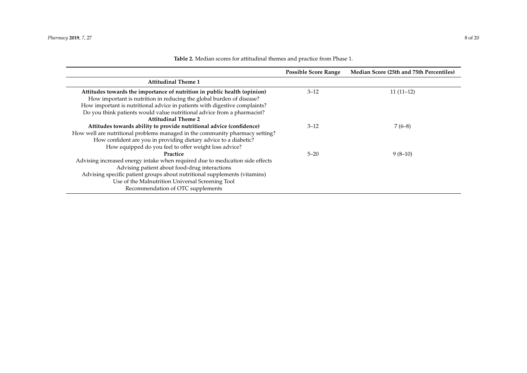<span id="page-7-0"></span>

|                                                                               | <b>Possible Score Range</b> | Median Score (25th and 75th Percentiles) |
|-------------------------------------------------------------------------------|-----------------------------|------------------------------------------|
| <b>Attitudinal Theme 1</b>                                                    |                             |                                          |
| Attitudes towards the importance of nutrition in public health (opinion)      | $3 - 12$                    | $11(11-12)$                              |
| How important is nutrition in reducing the global burden of disease?          |                             |                                          |
| How important is nutritional advice in patients with digestive complaints?    |                             |                                          |
| Do you think patients would value nutritional advice from a pharmacist?       |                             |                                          |
| <b>Attitudinal Theme 2</b>                                                    |                             |                                          |
| Attitudes towards ability to provide nutritional advice (confidence)          | $3 - 12$                    | $7(6-8)$                                 |
| How well are nutritional problems managed in the community pharmacy setting?  |                             |                                          |
| How confident are you in providing dietary advice to a diabetic?              |                             |                                          |
| How equipped do you feel to offer weight loss advice?                         |                             |                                          |
| Practice                                                                      | $5 - 20$                    | $9(8-10)$                                |
| Advising increased energy intake when required due to medication side effects |                             |                                          |
| Advising patient about food-drug interactions                                 |                             |                                          |
| Advising specific patient groups about nutritional supplements (vitamins)     |                             |                                          |
| Use of the Malnutrition Universal Screening Tool                              |                             |                                          |
| Recommendation of OTC supplements                                             |                             |                                          |

**Table 2.** Median scores for attitudinal themes and practice from Phase 1.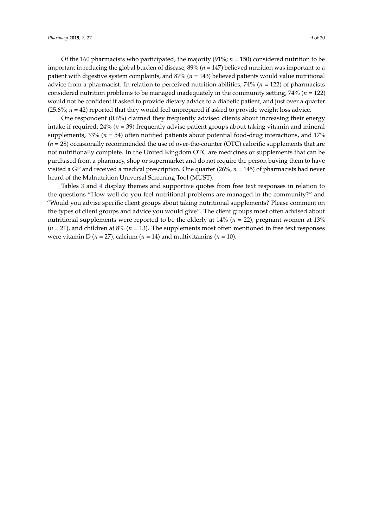Of the 160 pharmacists who participated, the majority (91%; *n* = 150) considered nutrition to be important in reducing the global burden of disease, 89% (*n* = 147) believed nutrition was important to a patient with digestive system complaints, and 87% (*n* = 143) believed patients would value nutritional advice from a pharmacist. In relation to perceived nutrition abilities, 74% (*n* = 122) of pharmacists considered nutrition problems to be managed inadequately in the community setting, 74% (*n* = 122) would not be confident if asked to provide dietary advice to a diabetic patient, and just over a quarter  $(25.6\%; n = 42)$  reported that they would feel unprepared if asked to provide weight loss advice.

One respondent (0.6%) claimed they frequently advised clients about increasing their energy intake if required, 24% (*n* = 39) frequently advise patient groups about taking vitamin and mineral supplements, 33% (*n* = 54) often notified patients about potential food-drug interactions, and 17% (*n* = 28) occasionally recommended the use of over-the-counter (OTC) calorific supplements that are not nutritionally complete. In the United Kingdom OTC are medicines or supplements that can be purchased from a pharmacy, shop or supermarket and do not require the person buying them to have visited a GP and received a medical prescription. One quarter (26%, *n* = 145) of pharmacists had never heard of the Malnutrition Universal Screening Tool (MUST).

Tables [3](#page-9-0) and [4](#page-10-0) display themes and supportive quotes from free text responses in relation to the questions "How well do you feel nutritional problems are managed in the community?" and "Would you advise specific client groups about taking nutritional supplements? Please comment on the types of client groups and advice you would give". The client groups most often advised about nutritional supplements were reported to be the elderly at 14% (*n* = 22), pregnant women at 13%  $(n = 21)$ , and children at 8%  $(n = 13)$ . The supplements most often mentioned in free text responses were vitamin D ( $n = 27$ ), calcium ( $n = 14$ ) and multivitamins ( $n = 10$ ).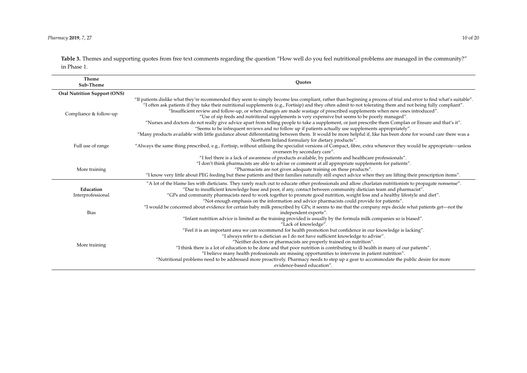**Table 3.** Themes and supporting quotes from free text comments regarding the question "How well do you feel nutritional problems are managed in the community?" in Phase 1.

<span id="page-9-0"></span>

| Theme<br>Sub-Theme                  | Quotes                                                                                                                                                                                                                                                                                                                                                                                                                                                                                                                                                                                                                                                                                                                                                                                                                                     |
|-------------------------------------|--------------------------------------------------------------------------------------------------------------------------------------------------------------------------------------------------------------------------------------------------------------------------------------------------------------------------------------------------------------------------------------------------------------------------------------------------------------------------------------------------------------------------------------------------------------------------------------------------------------------------------------------------------------------------------------------------------------------------------------------------------------------------------------------------------------------------------------------|
| <b>Oral Nutrition Support (ONS)</b> |                                                                                                                                                                                                                                                                                                                                                                                                                                                                                                                                                                                                                                                                                                                                                                                                                                            |
| Compliance & follow-up              | "If patients dislike what they're recommended they seem to simply become less compliant, rather than beginning a process of trial and error to find what's suitable".<br>"I often ask patients if they take their nutritional supplements (e.g., Fortisip) and they often admit to not tolerating them and not being fully compliant".<br>"Insufficient review and follow-up, or when changes are made wastage of prescribed supplements when new ones introduced".<br>"Use of sip feeds and nutritional supplements is very expensive but seems to be poorly managed".<br>"Nurses and doctors do not really give advice apart from telling people to take a supplement, or just prescribe them Complan or Ensure and that's it".<br>"Seems to be infrequent reviews and no follow up if patients actually use supplements appropriately". |
| Full use of range                   | "Many products available with little guidance about differentiating between them. It would be more helpful if, like has been done for wound care there was a<br>Northern Ireland formulary for dietary products".<br>"Always the same thing prescribed, e.g., Fortisip, without utilising the specialist versions of Compact, fibre, extra whenever they would be appropriate—unless<br>overseen by secondary care".                                                                                                                                                                                                                                                                                                                                                                                                                       |
| More training                       | "I feel there is a lack of awareness of products available, by patients and healthcare professionals".<br>"I don't think pharmacists are able to advise or comment at all appropriate supplements for patients".<br>"Pharmacists are not given adequate training on these products".<br>"I know very little about PEG feeding but these patients and their families naturally still expect advice when they are lifting their prescription items".                                                                                                                                                                                                                                                                                                                                                                                         |
| Education<br>Interprofessional      | "A lot of the blame lies with dieticians. They rarely reach out to educate other professionals and allow charlatan nutritionists to propagate nonsense".<br>"Due to insufficient knowledge base and poor, if any, contact between community dietician team and pharmacist".<br>"GPs and community pharmacists need to work together to promote good nutrition, weight loss and a healthy lifestyle and diet".<br>"Not enough emphasis on the information and advice pharmacists could provide for patients".                                                                                                                                                                                                                                                                                                                               |
| <b>Bias</b>                         | "I would be concerned about evidence for certain baby milk prescribed by GPs; it seems to me that the company reps decide what patients get-not the<br>independent experts".<br>"Infant nutrition advice is limited as the training provided is usually by the formula milk companies so is biased".                                                                                                                                                                                                                                                                                                                                                                                                                                                                                                                                       |
| More training                       | "Lack of knowledge".<br>"Feel it is an important area we can recommend for health promotion but confidence in our knowledge is lacking".<br>"I always refer to a dietician as I do not have sufficient knowledge to advise".<br>"Neither doctors or pharmacists are properly trained on nutrition".<br>"I think there is a lot of education to be done and that poor nutrition is contributing to ill health in many of our patients".<br>"I believe many health professionals are missing opportunities to intervene in patient nutrition".<br>"Nutritional problems need to be addressed more proactively. Pharmacy needs to step up a gear to accommodate the public desire for more<br>evidence-based education".                                                                                                                      |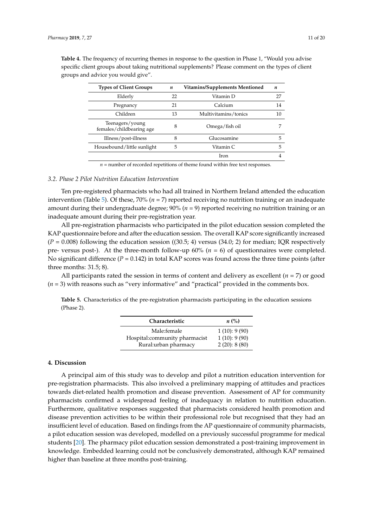| 1 "Would you advise |
|---------------------|

| <b>Types of Client Groups</b>               | $\boldsymbol{n}$ | <b>Vitamins/Supplements Mentioned</b> | n  |
|---------------------------------------------|------------------|---------------------------------------|----|
| Elderly                                     | 22               | Vitamin D                             | 27 |
| Pregnancy                                   | 21               | Calcium                               | 14 |
| Children                                    | 13               | Multivitamins/tonics                  | 10 |
| Teenagers/young<br>females/childbearing age | 8                | Omega/fish oil                        |    |
| Illness/post-illness                        | 8                | Glucosamine                           | 5  |
| Housebound/little sunlight                  | 5                | Vitamin C                             | 5  |
|                                             |                  | <b>Iron</b>                           |    |

<span id="page-10-0"></span>**Table 4.** The frequency of recurring themes in response to the question in Phase 1, "Would you advise specific client groups about taking nutritional supplements? Please comment on the types of client groups and advice you would give".

 $n =$  number of recorded repetitions of theme found within free text responses.

# *3.2. Phase 2 Pilot Nutrition Education Intervention*

Ten pre-registered pharmacists who had all trained in Northern Ireland attended the education intervention (Table [5\)](#page-10-1). Of these,  $70\%$  ( $n = 7$ ) reported receiving no nutrition training or an inadequate amount during their undergraduate degree; 90% (*n* = 9) reported receiving no nutrition training or an inadequate amount during their pre-registration year.

All pre-registration pharmacists who participated in the pilot education session completed the KAP questionnaire before and after the education session. The overall KAP score significantly increased  $(P = 0.008)$  following the education session  $((30.5; 4)$  versus  $(34.0; 2)$  for median; IQR respectively pre- versus post-). At the three-month follow-up  $60\%$  ( $n = 6$ ) of questionnaires were completed. No significant difference  $(P = 0.142)$  in total KAP scores was found across the three time points (after three months: 31.5; 8).

All participants rated the session in terms of content and delivery as excellent (*n* = 7) or good (*n* = 3) with reasons such as "very informative" and "practical" provided in the comments box.

<span id="page-10-1"></span>**Table 5.** Characteristics of the pre-registration pharmacists participating in the education sessions (Phase 2).

| Characteristic                               | n (%)                        |
|----------------------------------------------|------------------------------|
| Male:female<br>Hospital:community pharmacist | 1(10): 9(90)<br>1(10): 9(90) |
| Rural: urban pharmacy                        | 2(20): 8(80)                 |

#### **4. Discussion**

A principal aim of this study was to develop and pilot a nutrition education intervention for pre-registration pharmacists. This also involved a preliminary mapping of attitudes and practices towards diet-related health promotion and disease prevention. Assessment of AP for community pharmacists confirmed a widespread feeling of inadequacy in relation to nutrition education. Furthermore, qualitative responses suggested that pharmacists considered health promotion and disease prevention activities to be within their professional role but recognised that they had an insufficient level of education. Based on findings from the AP questionnaire of community pharmacists, a pilot education session was developed, modelled on a previously successful programme for medical students [\[20\]](#page-18-8). The pharmacy pilot education session demonstrated a post-training improvement in knowledge. Embedded learning could not be conclusively demonstrated, although KAP remained higher than baseline at three months post-training.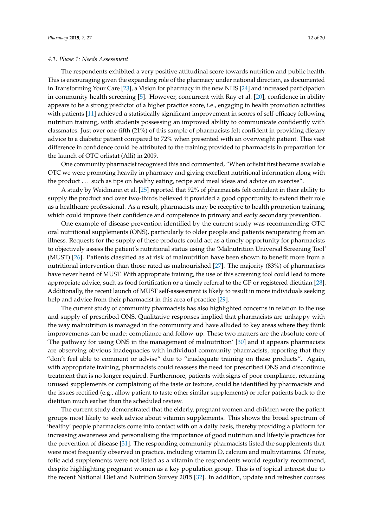The respondents exhibited a very positive attitudinal score towards nutrition and public health. This is encouraging given the expanding role of the pharmacy under national direction, as documented in Transforming Your Care [\[23\]](#page-18-11), a Vision for pharmacy in the new NHS [\[24\]](#page-18-12) and increased participation in community health screening [\[5\]](#page-17-4). However, concurrent with Ray et al. [\[20\]](#page-18-8), confidence in ability appears to be a strong predictor of a higher practice score, i.e., engaging in health promotion activities with patients [\[11\]](#page-18-0) achieved a statistically significant improvement in scores of self-efficacy following nutrition training, with students possessing an improved ability to communicate confidently with classmates. Just over one-fifth (21%) of this sample of pharmacists felt confident in providing dietary advice to a diabetic patient compared to 72% when presented with an overweight patient. This vast difference in confidence could be attributed to the training provided to pharmacists in preparation for the launch of OTC orlistat (Alli) in 2009.

One community pharmacist recognised this and commented, "When orlistat first became available OTC we were promoting heavily in pharmacy and giving excellent nutritional information along with the product . . . such as tips on healthy eating, recipe and meal ideas and advice on exercise".

A study by Weidmann et al. [\[25\]](#page-18-13) reported that 92% of pharmacists felt confident in their ability to supply the product and over two-thirds believed it provided a good opportunity to extend their role as a healthcare professional. As a result, pharmacists may be receptive to health promotion training, which could improve their confidence and competence in primary and early secondary prevention.

One example of disease prevention identified by the current study was recommending OTC oral nutritional supplements (ONS), particularly to older people and patients recuperating from an illness. Requests for the supply of these products could act as a timely opportunity for pharmacists to objectively assess the patient's nutritional status using the 'Malnutrition Universal Screening Tool' (MUST) [\[26\]](#page-18-14). Patients classified as at risk of malnutrition have been shown to benefit more from a nutritional intervention than those rated as malnourished [\[27\]](#page-18-15). The majority (83%) of pharmacists have never heard of MUST. With appropriate training, the use of this screening tool could lead to more appropriate advice, such as food fortification or a timely referral to the GP or registered dietitian [\[28\]](#page-18-16). Additionally, the recent launch of MUST self-assessment is likely to result in more individuals seeking help and advice from their pharmacist in this area of practice [\[29\]](#page-18-17).

The current study of community pharmacists has also highlighted concerns in relation to the use and supply of prescribed ONS. Qualitative responses implied that pharmacists are unhappy with the way malnutrition is managed in the community and have alluded to key areas where they think improvements can be made: compliance and follow-up. These two matters are the absolute core of 'The pathway for using ONS in the management of malnutrition' [\[30\]](#page-19-0) and it appears pharmacists are observing obvious inadequacies with individual community pharmacists, reporting that they "don't feel able to comment or advise" due to "inadequate training on these products". Again, with appropriate training, pharmacists could reassess the need for prescribed ONS and discontinue treatment that is no longer required. Furthermore, patients with signs of poor compliance, returning unused supplements or complaining of the taste or texture, could be identified by pharmacists and the issues rectified (e.g., allow patient to taste other similar supplements) or refer patients back to the dietitian much earlier than the scheduled review.

The current study demonstrated that the elderly, pregnant women and children were the patient groups most likely to seek advice about vitamin supplements. This shows the broad spectrum of 'healthy' people pharmacists come into contact with on a daily basis, thereby providing a platform for increasing awareness and personalising the importance of good nutrition and lifestyle practices for the prevention of disease [\[31\]](#page-19-1). The responding community pharmacists listed the supplements that were most frequently observed in practice, including vitamin D, calcium and multivitamins. Of note, folic acid supplements were not listed as a vitamin the respondents would regularly recommend, despite highlighting pregnant women as a key population group. This is of topical interest due to the recent National Diet and Nutrition Survey 2015 [\[32\]](#page-19-2). In addition, update and refresher courses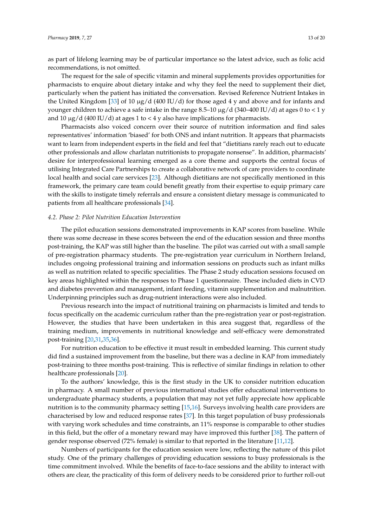as part of lifelong learning may be of particular importance so the latest advice, such as folic acid recommendations, is not omitted.

The request for the sale of specific vitamin and mineral supplements provides opportunities for pharmacists to enquire about dietary intake and why they feel the need to supplement their diet, particularly when the patient has initiated the conversation. Revised Reference Nutrient Intakes in the United Kingdom [\[33\]](#page-19-3) of 10  $\mu$ g/d (400 IU/d) for those aged 4 y and above and for infants and younger children to achieve a safe intake in the range 8.5–10  $\mu$ g/d (340–400 IU/d) at ages 0 to < 1 y and 10  $\mu$ g/d (400 IU/d) at ages 1 to < 4 y also have implications for pharmacists.

Pharmacists also voiced concern over their source of nutrition information and find sales representatives' information 'biased' for both ONS and infant nutrition. It appears that pharmacists want to learn from independent experts in the field and feel that "dietitians rarely reach out to educate other professionals and allow charlatan nutritionists to propagate nonsense". In addition, pharmacists' desire for interprofessional learning emerged as a core theme and supports the central focus of utilising Integrated Care Partnerships to create a collaborative network of care providers to coordinate local health and social care services [\[23\]](#page-18-11). Although dietitians are not specifically mentioned in this framework, the primary care team could benefit greatly from their expertise to equip primary care with the skills to instigate timely referrals and ensure a consistent dietary message is communicated to patients from all healthcare professionals [\[34\]](#page-19-4).

#### *4.2. Phase 2: Pilot Nutrition Education Intervention*

The pilot education sessions demonstrated improvements in KAP scores from baseline. While there was some decrease in these scores between the end of the education session and three months post-training, the KAP was still higher than the baseline. The pilot was carried out with a small sample of pre-registration pharmacy students. The pre-registration year curriculum in Northern Ireland, includes ongoing professional training and information sessions on products such as infant milks as well as nutrition related to specific specialities. The Phase 2 study education sessions focused on key areas highlighted within the responses to Phase 1 questionnaire. These included diets in CVD and diabetes prevention and management, infant feeding, vitamin supplementation and malnutrition. Underpinning principles such as drug-nutrient interactions were also included.

Previous research into the impact of nutritional training on pharmacists is limited and tends to focus specifically on the academic curriculum rather than the pre-registration year or post-registration. However, the studies that have been undertaken in this area suggest that, regardless of the training medium, improvements in nutritional knowledge and self-efficacy were demonstrated post-training [\[20](#page-18-8)[,31](#page-19-1)[,35,](#page-19-5)[36\]](#page-19-6).

For nutrition education to be effective it must result in embedded learning. This current study did find a sustained improvement from the baseline, but there was a decline in KAP from immediately post-training to three months post-training. This is reflective of similar findings in relation to other healthcare professionals [\[20\]](#page-18-8).

To the authors' knowledge, this is the first study in the UK to consider nutrition education in pharmacy. A small number of previous international studies offer educational interventions to undergraduate pharmacy students, a population that may not yet fully appreciate how applicable nutrition is to the community pharmacy setting [\[15](#page-18-4)[,16\]](#page-18-6). Surveys involving health care providers are characterised by low and reduced response rates [\[37\]](#page-19-7). In this target population of busy professionals with varying work schedules and time constraints, an 11% response is comparable to other studies in this field, but the offer of a monetary reward may have improved this further [\[38\]](#page-19-8). The pattern of gender response observed (72% female) is similar to that reported in the literature [\[11,](#page-18-0)[12\]](#page-18-1).

Numbers of participants for the education session were low, reflecting the nature of this pilot study. One of the primary challenges of providing education sessions to busy professionals is the time commitment involved. While the benefits of face-to-face sessions and the ability to interact with others are clear, the practicality of this form of delivery needs to be considered prior to further roll-out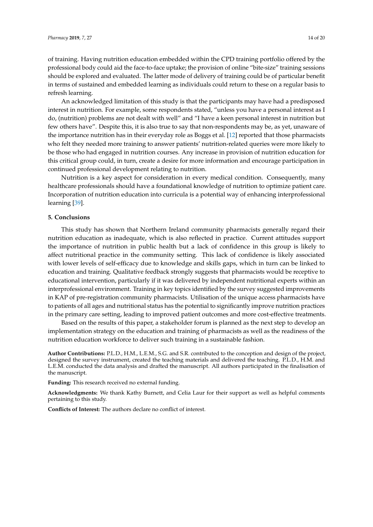of training. Having nutrition education embedded within the CPD training portfolio offered by the professional body could aid the face-to-face uptake; the provision of online "bite-size" training sessions should be explored and evaluated. The latter mode of delivery of training could be of particular benefit in terms of sustained and embedded learning as individuals could return to these on a regular basis to refresh learning.

An acknowledged limitation of this study is that the participants may have had a predisposed interest in nutrition. For example, some respondents stated, "unless you have a personal interest as I do, (nutrition) problems are not dealt with well" and "I have a keen personal interest in nutrition but few others have". Despite this, it is also true to say that non-respondents may be, as yet, unaware of the importance nutrition has in their everyday role as Boggs et al. [\[12\]](#page-18-1) reported that those pharmacists who felt they needed more training to answer patients' nutrition-related queries were more likely to be those who had engaged in nutrition courses. Any increase in provision of nutrition education for this critical group could, in turn, create a desire for more information and encourage participation in continued professional development relating to nutrition.

Nutrition is a key aspect for consideration in every medical condition. Consequently, many healthcare professionals should have a foundational knowledge of nutrition to optimize patient care. Incorporation of nutrition education into curricula is a potential way of enhancing interprofessional learning [\[39\]](#page-19-9).

# **5. Conclusions**

This study has shown that Northern Ireland community pharmacists generally regard their nutrition education as inadequate, which is also reflected in practice. Current attitudes support the importance of nutrition in public health but a lack of confidence in this group is likely to affect nutritional practice in the community setting. This lack of confidence is likely associated with lower levels of self-efficacy due to knowledge and skills gaps, which in turn can be linked to education and training. Qualitative feedback strongly suggests that pharmacists would be receptive to educational intervention, particularly if it was delivered by independent nutritional experts within an interprofessional environment. Training in key topics identified by the survey suggested improvements in KAP of pre-registration community pharmacists. Utilisation of the unique access pharmacists have to patients of all ages and nutritional status has the potential to significantly improve nutrition practices in the primary care setting, leading to improved patient outcomes and more cost-effective treatments.

Based on the results of this paper, a stakeholder forum is planned as the next step to develop an implementation strategy on the education and training of pharmacists as well as the readiness of the nutrition education workforce to deliver such training in a sustainable fashion.

**Author Contributions:** P.L.D., H.M., L.E.M., S.G. and S.R. contributed to the conception and design of the project, designed the survey instrument, created the teaching materials and delivered the teaching. P.L.D., H.M. and L.E.M. conducted the data analysis and drafted the manuscript. All authors participated in the finalisation of the manuscript.

**Funding:** This research received no external funding.

**Acknowledgments:** We thank Kathy Burnett, and Celia Laur for their support as well as helpful comments pertaining to this study.

**Conflicts of Interest:** The authors declare no conflict of interest.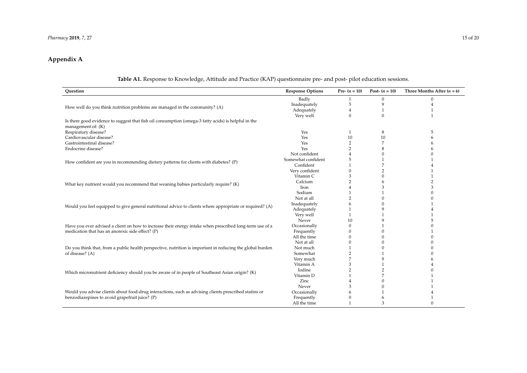# **Appendix A**

| Ouestion                                                                                                                  | <b>Response Options</b> | Pre- $(n = 10)$ | Post- $(n = 10)$ | Three Months After $(n = 6)$ |
|---------------------------------------------------------------------------------------------------------------------------|-------------------------|-----------------|------------------|------------------------------|
|                                                                                                                           | Badly                   | $\mathbf{1}$    | $\mathbf{0}$     | $\mathbf{0}$                 |
|                                                                                                                           | Inadequately            | 5               | 9                | 4                            |
| How well do you think nutrition problems are managed in the community? (A)                                                | Adequately              | $\overline{4}$  | 1                |                              |
|                                                                                                                           | Very well               | $\mathbf{0}$    | $\mathbf{0}$     |                              |
| Is there good evidence to suggest that fish oil consumption (omega-3 fatty acids) is helpful in the<br>management of: (K) |                         |                 |                  |                              |
| Respiratory disease?                                                                                                      | Yes                     | 1               | 8                | 5                            |
| Cardiovascular disease?                                                                                                   | Yes                     | 10              | 10               | 6                            |
| Gastrointestinal disease?                                                                                                 | Yes                     | $\overline{2}$  | 7                |                              |
| Endocrine disease?                                                                                                        | Yes                     | $\overline{2}$  | 8                |                              |
|                                                                                                                           | Not confident           | $\overline{A}$  | $\Omega$         |                              |
|                                                                                                                           | Somewhat confident      | 5               |                  |                              |
| How confident are you in recommending dietary patterns for clients with diabetes? (P)                                     | Confident               |                 |                  |                              |
|                                                                                                                           | Very confident          | $\theta$        |                  |                              |
|                                                                                                                           | Vitamin C               | 3               |                  |                              |
|                                                                                                                           | Calcium                 | $\overline{2}$  |                  |                              |
| What key nutrient would you recommend that weaning babies particularly require? (K)                                       | Iron                    | $\overline{4}$  | 3                |                              |
|                                                                                                                           | Sodium                  |                 |                  |                              |
|                                                                                                                           | Not at all              | $\overline{2}$  | $\Omega$         |                              |
|                                                                                                                           | Inadequately            | 6               | $\Omega$         |                              |
| Would you feel equipped to give general nutritional advice to clients where appropriate or required? (A)                  | Adequately              | -1              | 9                |                              |
|                                                                                                                           | Very well               |                 |                  |                              |
|                                                                                                                           | Never                   | 10              | $\mathbf Q$      |                              |
| Have you ever advised a client on how to increase their energy intake when prescribed long-term use of a                  | Occasionally            | $\Omega$        |                  |                              |
| medication that has an anorexic side effect? (P)                                                                          | Frequently              | $\Omega$        | $\Omega$         |                              |
|                                                                                                                           | All the time            | $\Omega$        | $\Omega$         |                              |
|                                                                                                                           | Not at all              | $\Omega$        | $\Omega$         |                              |
| Do you think that, from a public health perspective, nutrition is important in reducing the global burden                 | Not much                |                 | $\Omega$         |                              |
| of disease? (A)                                                                                                           | Somewhat                | $\overline{2}$  |                  |                              |
|                                                                                                                           | Very much               | 7               | Q                |                              |
|                                                                                                                           | Vitamin A               | 3               |                  |                              |
|                                                                                                                           | Iodine                  | $\overline{2}$  | $\overline{2}$   |                              |
| Which micronutrient deficiency should you be aware of in people of Southeast Asian origin? (K)                            | Vitamin D               |                 | 7                |                              |
|                                                                                                                           | Zinc                    | 4               | $\Omega$         |                              |
|                                                                                                                           | Never                   | 3               | $\theta$         |                              |
| Would you advise clients about food-drug interactions, such as advising clients prescribed statins or                     | Occasionally            | 6               |                  |                              |
| benzodiazepines to avoid grapefruit juice? (P)                                                                            | Frequently              | $\theta$        | 6                |                              |
|                                                                                                                           | All the time            | $\overline{1}$  | 3                | $\Omega$                     |

**Table A1.** Response to Knowledge, Attitude and Practice (KAP) questionnaire pre- and post- pilot education sessions.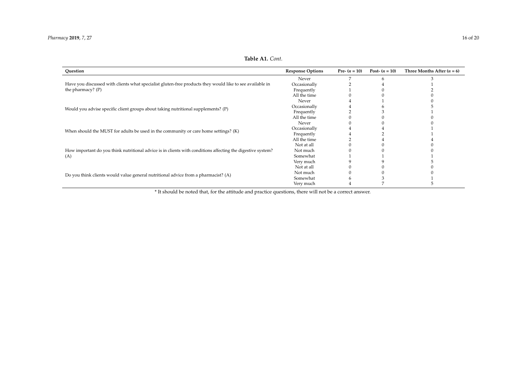**Table A1.** *Cont.*

| Question                                                                                                    | <b>Response Options</b> | Pre- $(n = 10)$ | Post- $(n = 10)$ | Three Months After $(n = 6)$ |
|-------------------------------------------------------------------------------------------------------------|-------------------------|-----------------|------------------|------------------------------|
|                                                                                                             | Never                   |                 |                  |                              |
| Have you discussed with clients what specialist gluten-free products they would like to see available in    | Occasionally            |                 |                  |                              |
| the pharmacy? (P)                                                                                           | Frequently              |                 |                  |                              |
|                                                                                                             | All the time            |                 |                  |                              |
|                                                                                                             | Never                   |                 |                  |                              |
| Would you advise specific client groups about taking nutritional supplements? (P)                           | Occasionally            |                 |                  |                              |
|                                                                                                             | Frequently              |                 |                  |                              |
|                                                                                                             | All the time            |                 |                  |                              |
|                                                                                                             | Never                   |                 |                  |                              |
| When should the MUST for adults be used in the community or care home settings? (K)                         | Occasionally            |                 |                  |                              |
|                                                                                                             | Frequently              |                 |                  |                              |
|                                                                                                             | All the time            |                 |                  |                              |
|                                                                                                             | Not at all              |                 |                  |                              |
| How important do you think nutritional advice is in clients with conditions affecting the digestive system? | Not much                |                 |                  |                              |
| (A)                                                                                                         | Somewhat                |                 |                  |                              |
|                                                                                                             | Very much               |                 |                  |                              |
|                                                                                                             | Not at all              |                 |                  |                              |
| Do you think clients would value general nutritional advice from a pharmacist? (A)                          | Not much                |                 |                  |                              |
|                                                                                                             | Somewhat                |                 |                  |                              |
|                                                                                                             | Very much               |                 |                  |                              |

<span id="page-15-0"></span>\* It should be noted that, for the attitude and practice questions, there will not be a correct answer.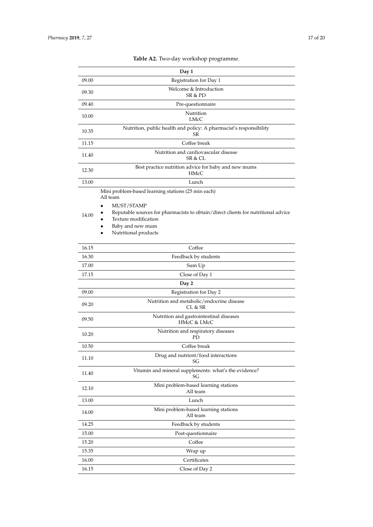<span id="page-16-0"></span>

|       | Day 1                                                                                                                                                                                                                                 |
|-------|---------------------------------------------------------------------------------------------------------------------------------------------------------------------------------------------------------------------------------------|
| 09.00 | Registration for Day 1                                                                                                                                                                                                                |
| 09.30 | Welcome & Introduction<br>SR & PD                                                                                                                                                                                                     |
| 09.40 | Pre-questionnaire                                                                                                                                                                                                                     |
| 10.00 | Nutrition<br>LMcC                                                                                                                                                                                                                     |
| 10.35 | Nutrition, public health and policy: A pharmacist's responsibility<br>SR                                                                                                                                                              |
| 11.15 | Coffee break                                                                                                                                                                                                                          |
| 11.40 | Nutrition and cardiovascular disease<br>SR & CL                                                                                                                                                                                       |
| 12.30 | Best practice nutrition advice for baby and new mums<br>HMcC                                                                                                                                                                          |
| 13.00 | Lunch                                                                                                                                                                                                                                 |
| 14.00 | Mini problem-based learning stations (25 min each)<br>All team<br>MUST/STAMP<br>Reputable sources for pharmacists to obtain/direct clients for nutritional advice<br>Texture modification<br>Baby and new mum<br>Nutritional products |
| 16.15 | Coffee                                                                                                                                                                                                                                |
| 16.30 | Feedback by students                                                                                                                                                                                                                  |
| 17.00 | Sum Up                                                                                                                                                                                                                                |
| 17.15 | Close of Day 1                                                                                                                                                                                                                        |
|       | Day 2                                                                                                                                                                                                                                 |
| 09.00 | Registration for Day 2                                                                                                                                                                                                                |
| 09.20 | Nutrition and metabolic/endocrine disease<br>CL & SR                                                                                                                                                                                  |
| 09.50 | Nutrition and gastrointestinal diseases<br>HMcC & LMcC                                                                                                                                                                                |
| 10.20 | Nutrition and respiratory diseases<br>PD                                                                                                                                                                                              |
| 10.50 | Coffee break                                                                                                                                                                                                                          |
| 11.10 | Drug and nutrient/food interactions<br>SG                                                                                                                                                                                             |
| 11.40 | Vitamin and mineral supplements: what's the evidence?<br>SG                                                                                                                                                                           |
| 12.10 | Mini problem-based learning stations<br>All team                                                                                                                                                                                      |
| 13.00 | Lunch                                                                                                                                                                                                                                 |
| 14.00 | Mini problem-based learning stations<br>All team                                                                                                                                                                                      |
| 14.25 | Feedback by students                                                                                                                                                                                                                  |
| 15.00 | Post-questionnaire                                                                                                                                                                                                                    |
| 15.20 | Coffee                                                                                                                                                                                                                                |
| 15.35 | Wrap up                                                                                                                                                                                                                               |
| 16.00 | Certificates                                                                                                                                                                                                                          |
| 16.15 | Close of Day 2                                                                                                                                                                                                                        |

# **Table A2.** Two-day workshop programme.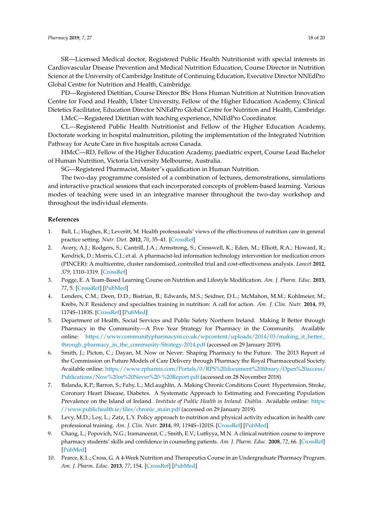SR—Licensed Medical doctor, Registered Public Health Nutritionist with special interests in Cardiovascular Disease Prevention and Medical Nutrition Education, Course Director in Nutrition Science at the University of Cambridge Institute of Continuing Education, Executive Director NNEdPro Global Centre for Nutrition and Health, Cambridge.

PD—Registered Dietitian, Course Director BSc Hons Human Nutrition at Nutrition Innovation Centre for Food and Health, Ulster University, Fellow of the Higher Education Academy, Clinical Dietetics Facilitator, Education Director NNEdPro Global Centre for Nutrition and Health, Cambridge.

LMcC—Registered Dietitian with teaching experience, NNEdPro Coordinator.

CL—Registered Public Health Nutritionist and Fellow of the Higher Education Academy, Doctorate working in hospital malnutrition, piloting the implementation of the Integrated Nutrition Pathway for Acute Care in five hospitals across Canada.

HMcC—RD, Fellow of the Higher Education Academy, paediatric expert, Course Lead Bachelor of Human Nutrition, Victoria University Melbourne, Australia.

SG—Registered Pharmacist, Master's qualification in Human Nutrition.

The two-day programme consisted of a combination of lectures, demonstrations, simulations and interactive practical sessions that each incorporated concepts of problem-based learning. Various modes of teaching were used in an integrative manner throughout the two-day workshop and throughout the individual elements.

# **References**

- <span id="page-17-0"></span>1. Ball, L.; Hughes, R.; Leveritt, M. Health professionals' views of the effectiveness of nutrition care in general practice setting. *Nutr. Diet.* **2012**, *70*, 35–41. [\[CrossRef\]](http://dx.doi.org/10.1111/j.1747-0080.2012.01627.x)
- <span id="page-17-1"></span>2. Avery, A.J.; Rodgers, S.; Cantrill, J.A.; Armstrong, S.; Cresswell, K.; Eden, M.; Elliott, R.A.; Howard, R.; Kendrick, D.; Morris, C.J.; et al. A pharmacist-led information technology intervention for medication errors (PINCER): A multicentre, cluster randomised, controlled trial and cost-effectiveness analysis. *Lancet* **2012**, *379*, 1310–1319. [\[CrossRef\]](http://dx.doi.org/10.1016/S0140-6736(11)61817-5)
- <span id="page-17-2"></span>3. Pogge, E. A Team-Based Learning Course on Nutrition and Lifestyle Modification. *Am. J. Pharm. Educ.* **2013**, *77*, 5. [\[CrossRef\]](http://dx.doi.org/10.5688/ajpe775103) [\[PubMed\]](http://www.ncbi.nlm.nih.gov/pubmed/23788814)
- <span id="page-17-3"></span>4. Lenders, C.M.; Deen, D.D.; Bistrian, B.; Edwards, M.S.; Seidner, D.L.; McMahon, M.M.; Kohlmeier, M.; Krebs, N.F. Residency and specialties training in nutrition: A call for action. *Am. J. Clin. Nutr.* **2014**, *99*, 1174S–1183S. [\[CrossRef\]](http://dx.doi.org/10.3945/ajcn.113.073528) [\[PubMed\]](http://www.ncbi.nlm.nih.gov/pubmed/24646816)
- <span id="page-17-4"></span>5. Department of Health, Social Services and Public Safety Northern Ireland. Making It Better through Pharmacy in the Community—A Five Year Strategy for Pharmacy in the Community. Available online: [https://www.communitypharmacyni.co.uk/wpcontent/uploads/2014/03/making\\_it\\_better\\_](https://www.communitypharmacyni.co.uk/wpcontent/uploads/2014/03/making_it_better_through_pharmacy_in_the_community-Strategy-2014.pdf) [through\\_pharmacy\\_in\\_the\\_community-Strategy-2014.pdf](https://www.communitypharmacyni.co.uk/wpcontent/uploads/2014/03/making_it_better_through_pharmacy_in_the_community-Strategy-2014.pdf) (accessed on 29 January 2019).
- <span id="page-17-5"></span>6. Smith, J.; Picton, C.; Dayan, M. Now or Never: Shaping Pharmacy to the Future. The 2013 Report of the Commission on Future Models of Care Delivery through Pharmacy the Royal Pharmaceutical Society. Available online: [https://www.rpharms.com/Portals/0/RPS%20document%20library/Open%20access/](https://www.rpharms.com/Portals/0/RPS%20document%20library/Open%20access/Publications/Now%20or%20Never%20-%20Report.pdf) [Publications/Now%20or%20Never%20-%20Report.pdf](https://www.rpharms.com/Portals/0/RPS%20document%20library/Open%20access/Publications/Now%20or%20Never%20-%20Report.pdf) (accessed on 28 November 2018).
- <span id="page-17-6"></span>7. Balanda, K.P.; Barron, S.; Fahy, L.; McLaughlin, A. Making Chronic Conditions Count: Hypertension, Stroke, Coronary Heart Disease, Diabetes. A Systematic Approach to Estimating and Forecasting Population Prevalence on the Island of Ireland. *Institute of Public Health in Ireland: Dublin.* Available online: [https:](https://www.publichealth.ie/files/chronic_main.pdf) [//www.publichealth.ie/files/chronic\\_main.pdf](https://www.publichealth.ie/files/chronic_main.pdf) (accessed on 29 January 2019).
- <span id="page-17-7"></span>8. Levy, M.D.; Loy, L.; Zatz, L.Y. Policy approach to nutrition and physical activity education in health care professional training. *Am. J. Clin. Nutr.* **2014**, *99*, 1194S–1201S. [\[CrossRef\]](http://dx.doi.org/10.3945/ajcn.113.073544) [\[PubMed\]](http://www.ncbi.nlm.nih.gov/pubmed/24646822)
- <span id="page-17-8"></span>9. Chang, L.; Popovich, N.G.; Iramaneerat, C.; Smith, E.V.; Lutfiyya, M.N. A clinical nutrition course to improve pharmacy students' skills and confidence in counseling patients. *Am. J. Pharm. Educ.* **2008**, *72*, 66. [\[CrossRef\]](http://dx.doi.org/10.5688/aj720366) [\[PubMed\]](http://www.ncbi.nlm.nih.gov/pubmed/18698396)
- 10. Pearce, K.L.; Cross, G. A 4-Week Nutrition and Therapeutics Course in an Undergraduate Pharmacy Program. *Am. J. Pharm. Educ.* **2013**, *77*, 154. [\[CrossRef\]](http://dx.doi.org/10.5688/ajpe777154) [\[PubMed\]](http://www.ncbi.nlm.nih.gov/pubmed/24052657)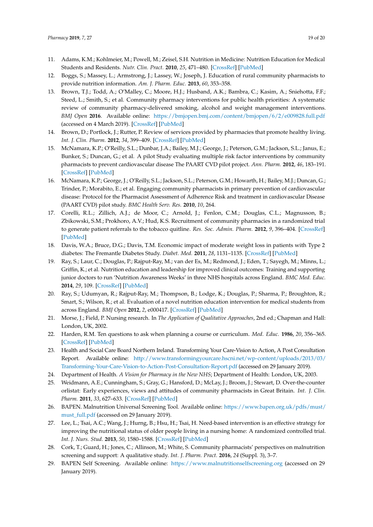- <span id="page-18-0"></span>11. Adams, K.M.; Kohlmeier, M.; Powell, M.; Zeisel, S.H. Nutrition in Medicine: Nutrition Education for Medical Students and Residents. *Nutr. Clin. Pract.* **2010**, *25*, 471–480. [\[CrossRef\]](http://dx.doi.org/10.1177/0884533610379606) [\[PubMed\]](http://www.ncbi.nlm.nih.gov/pubmed/20962306)
- <span id="page-18-1"></span>12. Boggs, S.; Massey, L.; Armstrong, J.; Lassey, W.; Joseph, J. Education of rural community pharmacists to provide nutrition information. *Am. J. Pharm. Educ.* **2013**, *60*, 353–358.
- <span id="page-18-2"></span>13. Brown, T.J.; Todd, A.; O'Malley, C.; Moore, H.J.; Husband, A.K.; Bambra, C.; Kasim, A.; Sniehotta, F.F.; Steed, L.; Smith, S.; et al. Community pharmacy interventions for public health priorities: A systematic review of community pharmacy-delivered smoking, alcohol and weight management interventions. *BMJ Open* **2016**. Available online: <https://bmjopen.bmj.com/content/bmjopen/6/2/e009828.full.pdf> (accessed on 4 March 2019). [\[CrossRef\]](http://dx.doi.org/10.1136/bmjopen-2015-009828) [\[PubMed\]](http://www.ncbi.nlm.nih.gov/pubmed/26928025)
- <span id="page-18-3"></span>14. Brown, D.; Portlock, J.; Rutter, P. Review of services provided by pharmacies that promote healthy living. *Int. J. Clin. Pharm.* **2012**, *34*, 399–409. [\[CrossRef\]](http://dx.doi.org/10.1007/s11096-012-9634-2) [\[PubMed\]](http://www.ncbi.nlm.nih.gov/pubmed/22527479)
- <span id="page-18-4"></span>15. McNamara, K.P.; O'Reilly, S.L.; Dunbar, J.A.; Bailey, M.J.; George, J.; Peterson, G.M.; Jackson, S.L.; Janus, E.; Bunker, S.; Duncan, G.; et al. A pilot Study evaluating multiple risk factor interventions by community pharmacists to prevent cardiovascular disease The PAART CVD pilot project. *Ann. Pharm.* **2012**, *46*, 183–191. [\[CrossRef\]](http://dx.doi.org/10.1345/aph.1Q572) [\[PubMed\]](http://www.ncbi.nlm.nih.gov/pubmed/22318928)
- <span id="page-18-6"></span>16. McNamara, K.P.; George, J.; O'Reilly, S.L.; Jackson, S.L.; Peterson, G.M.; Howarth, H.; Bailey, M.J.; Duncan, G.; Trinder, P.; Morabito, E.; et al. Engaging community pharmacists in primary prevention of cardiovascular disease: Protocol for the Pharmacist Assessment of Adherence Risk and treatment in cardiovascular Disease (PAART CVD) pilot study. *BMC Health Serv. Res.* **2010**, *10*, 264.
- 17. Corelli, R.L.; Zillich, A.J.; de Moor, C.; Arnold, J.; Fenlon, C.M.; Douglas, C.L.; Magnusson, B.; Zbikowski, S.M.; Prokhoro, A.V.; Hud, K.S. Recruitment of community pharmacies in a randomized trial to generate patient referrals to the tobacco quitline. *Res. Soc. Admin. Pharm.* **2012**, *9*, 396–404. [\[CrossRef\]](http://dx.doi.org/10.1016/j.sapharm.2012.06.001) [\[PubMed\]](http://www.ncbi.nlm.nih.gov/pubmed/22841641)
- <span id="page-18-5"></span>18. Davis, W.A.; Bruce, D.G.; Davis, T.M. Economic impact of moderate weight loss in patients with Type 2 diabetes: The Fremantle Diabetes Study. *Diabet. Med.* **2011**, *28*, 1131–1135. [\[CrossRef\]](http://dx.doi.org/10.1111/j.1464-5491.2011.03314.x) [\[PubMed\]](http://www.ncbi.nlm.nih.gov/pubmed/21843308)
- <span id="page-18-7"></span>19. Ray, S.; Laur, C.; Douglas, P.; Rajput-Ray, M.; van der Es, M.; Redmond, J.; Eden, T.; Sayegh, M.; Minns, L.; Griffin, K.; et al. Nutrition education and leadership for improved clinical outcomes: Training and supporting junior doctors to run 'Nutrition Awareness Weeks' in three NHS hospitals across England. *BMC Med. Educ.* **2014**, *29*, 109. [\[CrossRef\]](http://dx.doi.org/10.1186/1472-6920-14-109) [\[PubMed\]](http://www.ncbi.nlm.nih.gov/pubmed/24885676)
- <span id="page-18-8"></span>20. Ray, S.; Udumyan, R.; Rajput-Ray, M.; Thompson, B.; Lodge, K.; Douglas, P.; Sharma, P.; Broughton, R.; Smart, S.; Wilson, R.; et al. Evaluation of a novel nutrition education intervention for medical students from across England. *BMJ Open* **2012**, *2*, e000417. [\[CrossRef\]](http://dx.doi.org/10.1136/bmjopen-2011-000417) [\[PubMed\]](http://www.ncbi.nlm.nih.gov/pubmed/22327628)
- <span id="page-18-9"></span>21. Morse, J.; Field, P. Nursing research. In *The Application of Qualitative Approaches*, 2nd ed.; Chapman and Hall: London, UK, 2002.
- <span id="page-18-10"></span>22. Harden, R.M. Ten questions to ask when planning a course or curriculum. *Med. Educ.* **1986**, *20*, 356–365. [\[CrossRef\]](http://dx.doi.org/10.1111/j.1365-2923.1986.tb01379.x) [\[PubMed\]](http://www.ncbi.nlm.nih.gov/pubmed/3747885)
- <span id="page-18-11"></span>23. Health and Social Care Board Northern Ireland. Transforming Your Care-Vision to Action, A Post Consultation Report. Available online: [http://www.transformingyourcare.hscni.net/wp-content/uploads/2013/03/](http://www.transformingyourcare.hscni.net/wp-content/uploads/2013/03/Transforming-Your-Care-Vision-to-Action-Post-Consultation-Report.pdf) [Transforming-Your-Care-Vision-to-Action-Post-Consultation-Report.pdf](http://www.transformingyourcare.hscni.net/wp-content/uploads/2013/03/Transforming-Your-Care-Vision-to-Action-Post-Consultation-Report.pdf) (accessed on 29 January 2019).
- <span id="page-18-12"></span>24. Department of Health. *A Vision for Pharmacy in the New NHS*; Department of Health: London, UK, 2003.
- <span id="page-18-13"></span>25. Weidmann, A.E.; Cunningham, S.; Gray, G.; Hansford, D.; McLay, J.; Broom, J.; Stewart, D. Over-the-counter orlistat: Early experiences, views and attitudes of community pharmacists in Great Britain. *Int. J. Clin. Pharm.* **2011**, *33*, 627–633. [\[CrossRef\]](http://dx.doi.org/10.1007/s11096-011-9516-z) [\[PubMed\]](http://www.ncbi.nlm.nih.gov/pubmed/21573977)
- <span id="page-18-14"></span>26. BAPEN. Malnutrition Universal Screening Tool. Available online: [https://www.bapen.org.uk/pdfs/must/](https://www.bapen.org.uk/pdfs/must/must_full.pdf) must full.pdf (accessed on 29 January 2019).
- <span id="page-18-15"></span>27. Lee, L.; Tsai, A.C.; Wang, J.; Hurng, B.; Hsu, H.; Tsai, H. Need-based intervention is an effective strategy for improving the nutritional status of older people living in a nursing home: A randomized controlled trial. *Int. J. Nurs. Stud.* **2013**, *50*, 1580–1588. [\[CrossRef\]](http://dx.doi.org/10.1016/j.ijnurstu.2013.04.004) [\[PubMed\]](http://www.ncbi.nlm.nih.gov/pubmed/23648392)
- <span id="page-18-16"></span>28. Cork, T.; Guard, H.; Jones, C.; Allinson, M.; White, S. Community pharmacists' perspectives on malnutrition screening and support: A qualitative study. *Int. J. Pharm. Pract.* **2016**, *24* (Suppl. 3), 3–7.
- <span id="page-18-17"></span>29. BAPEN Self Screening. Available online: <https://www.malnutritionselfscreening.org> (accessed on 29 January 2019).